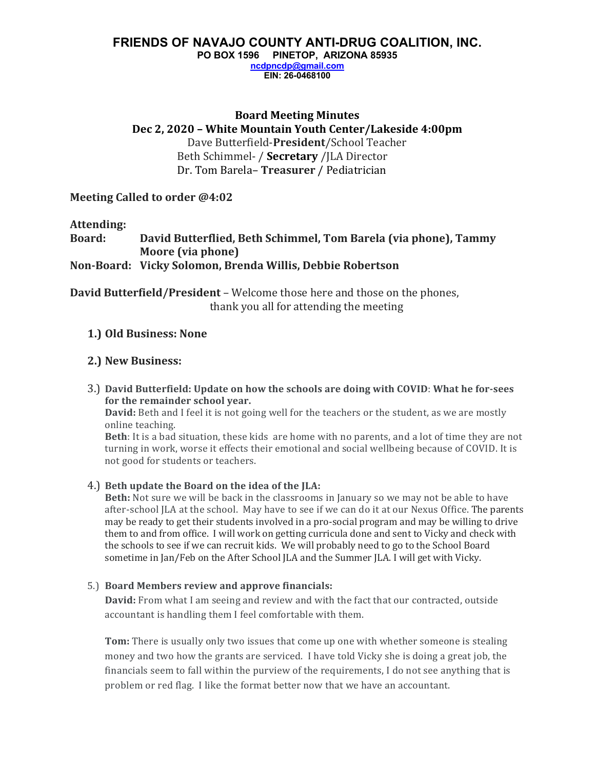# **FRIENDS OF NAVAJO COUNTY ANTI-DRUG COALITION, INC.**

**PO BOX 1596 PINETOP, ARIZONA 85935 ncdpncdp@gmail.com**

**EIN: 26-0468100**

# **Board Meeting Minutes Dec 2, 2020 – White Mountain Youth Center/Lakeside 4:00pm**

Dave Butterfield-**President**/School Teacher Beth Schimmel- / **Secretary** /JLA Director Dr. Tom Barela– **Treasurer** / Pediatrician

**Meeting Called to order @4:02** 

## **Attending:**

**Board:** David Butterflied, Beth Schimmel, Tom Barela (via phone), Tammy **Moore (via phone) Non-Board: Vicky Solomon, Brenda Willis, Debbie Robertson**

**David Butterfield/President** – Welcome those here and those on the phones, thank you all for attending the meeting

## **1.) Old Business: None**

## **2.) New Business:**

**3.**) David Butterfield: Update on how the schools are doing with COVID: What he for-sees for the remainder school year.

**David:** Beth and I feel it is not going well for the teachers or the student, as we are mostly online teaching.

**Beth**: It is a bad situation, these kids are home with no parents, and a lot of time they are not turning in work, worse it effects their emotional and social wellbeing because of COVID. It is not good for students or teachers.

### 4.) Beth update the Board on the idea of the JLA:

**Beth:** Not sure we will be back in the classrooms in January so we may not be able to have after-school [LA at the school. May have to see if we can do it at our Nexus Office. The parents may be ready to get their students involved in a pro-social program and may be willing to drive them to and from office. I will work on getting curricula done and sent to Vicky and check with the schools to see if we can recruit kids. We will probably need to go to the School Board sometime in Jan/Feb on the After School JLA and the Summer JLA. I will get with Vicky.

### 5.) Board Members review and approve financials:

**David:** From what I am seeing and review and with the fact that our contracted, outside accountant is handling them I feel comfortable with them.

**Tom:** There is usually only two issues that come up one with whether someone is stealing money and two how the grants are serviced. I have told Vicky she is doing a great job, the financials seem to fall within the purview of the requirements, I do not see anything that is problem or red flag. I like the format better now that we have an accountant.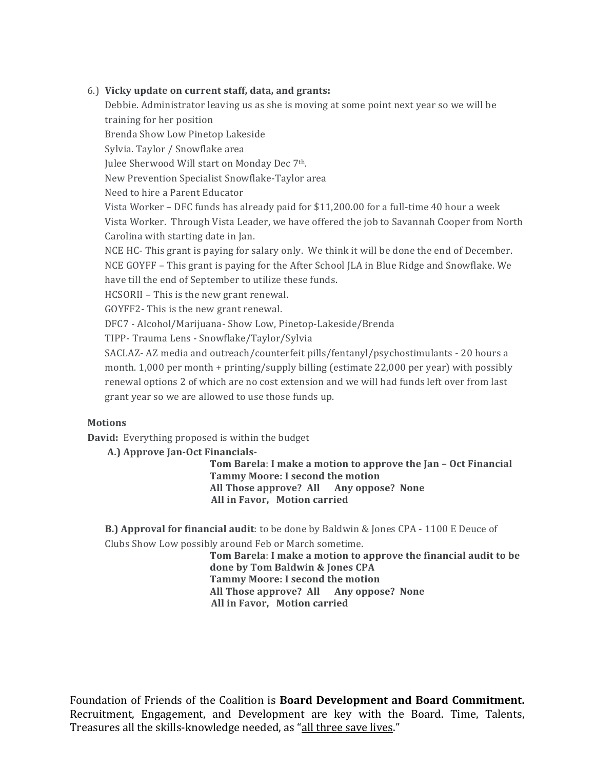#### 6.) **Vicky update on current staff, data, and grants:**

Debbie. Administrator leaving us as she is moving at some point next year so we will be training for her position Brenda Show Low Pinetop Lakeside Sylvia. Taylor / Snowflake area Julee Sherwood Will start on Monday Dec 7<sup>th</sup>. New Prevention Specialist Snowflake-Taylor area Need to hire a Parent Educator Vista Worker – DFC funds has already paid for  $$11,200.00$  for a full-time 40 hour a week Vista Worker. Through Vista Leader, we have offered the job to Savannah Cooper from North Carolina with starting date in Jan. NCE HC- This grant is paying for salary only. We think it will be done the end of December. NCE GOYFF – This grant is paying for the After School ILA in Blue Ridge and Snowflake. We have till the end of September to utilize these funds.

HCSORII - This is the new grant renewal.

GOYFF2- This is the new grant renewal.

DFC7 - Alcohol/Marijuana- Show Low, Pinetop-Lakeside/Brenda

TIPP- Trauma Lens - Snowflake/Taylor/Sylvia

SACLAZ- AZ media and outreach/counterfeit pills/fentanyl/psychostimulants - 20 hours a month.  $1,000$  per month + printing/supply billing (estimate  $22,000$  per year) with possibly renewal options 2 of which are no cost extension and we will had funds left over from last grant year so we are allowed to use those funds up.

#### **Motions**

**David:** Everything proposed is within the budget

A.) Approve Jan-Oct Financials-

Tom Barela: I make a motion to approve the Jan – Oct Financial **Tammy Moore: I second the motion** All Those approve? All Any oppose? None **All in Favor, Motion carried** 

**B.)** Approval for financial audit: to be done by Baldwin & Jones CPA - 1100 E Deuce of Clubs Show Low possibly around Feb or March sometime.

> Tom Barela: I make a motion to approve the financial audit to be done by Tom Baldwin & Jones CPA **Tammy Moore: I second the motion** All Those approve? All Any oppose? None **All in Favor, Motion carried**

Foundation of Friends of the Coalition is **Board Development and Board Commitment.** Recruitment, Engagement, and Development are key with the Board. Time, Talents, Treasures all the skills-knowledge needed, as "all three save lives."